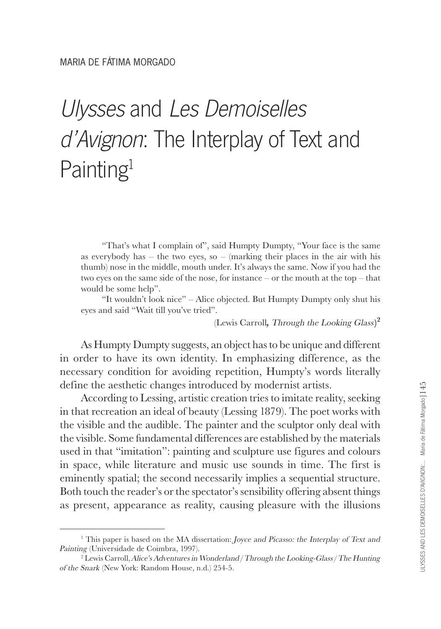## Ulysses and Les Demoiselles d'Avignon: The Interplay of Text and Painting<sup>1</sup>

"That's what I complain of", said Humpty Dumpty, "Your face is the same as everybody has – the two eyes, so – (marking their places in the air with his thumb) nose in the middle, mouth under. It's always the same. Now if you had the two eyes on the same side of the nose, for instance – or the mouth at the top – that would be some help".

"It wouldn't look nice" – Alice objected. But Humpty Dumpty only shut his eyes and said "Wait till you've tried".

(Lewis Carroll**,** Through the Looking Glass**) 2**

As Humpty Dumpty suggests, an object has to be unique and different in order to have its own identity. In emphasizing difference, as the necessary condition for avoiding repetition, Humpty's words literally define the aesthetic changes introduced by modernist artists.

According to Lessing, artistic creation tries to imitate reality, seeking in that recreation an ideal of beauty (Lessing 1879). The poet works with the visible and the audible. The painter and the sculptor only deal with the visible. Some fundamental differences are established by the materials used in that "imitation": painting and sculpture use figures and colours in space, while literature and music use sounds in time. The first is eminently spatial; the second necessarily implies a sequential structure. Both touch the reader's or the spectator's sensibility offering absent things as present, appearance as reality, causing pleasure with the illusions

<sup>&</sup>lt;sup>1</sup> This paper is based on the MA dissertation: *Joyce and Picasso: the Interplay of Text and* Painting (Universidade de Coimbra, 1997).

<sup>&</sup>lt;sup>2</sup> Lewis Carroll, Alice's Adventures in Wonderland / Through the Looking-Glass / The Hunting of the Snark (New York: Random House, n.d.) 254-5.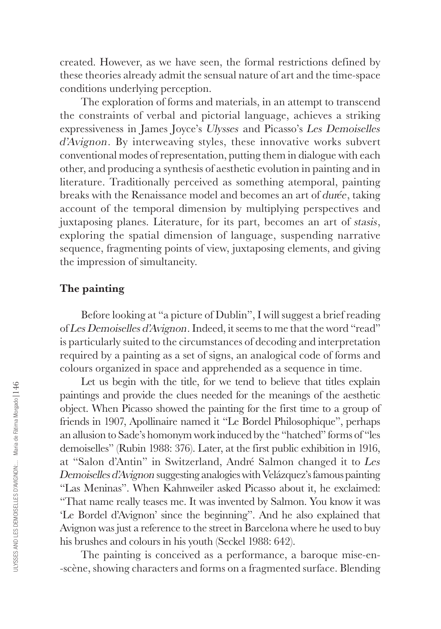created. However, as we have seen, the formal restrictions defined by these theories already admit the sensual nature of art and the time-space conditions underlying perception.

The exploration of forms and materials, in an attempt to transcend the constraints of verbal and pictorial language, achieves a striking expressiveness in James Joyce's Ulysses and Picasso's Les Demoiselles d'Avignon. By interweaving styles, these innovative works subvert conventional modes of representation, putting them in dialogue with each other, and producing a synthesis of aesthetic evolution in painting and in literature. Traditionally perceived as something atemporal, painting breaks with the Renaissance model and becomes an art of durée, taking account of the temporal dimension by multiplying perspectives and juxtaposing planes. Literature, for its part, becomes an art of stasis, exploring the spatial dimension of language, suspending narrative sequence, fragmenting points of view, juxtaposing elements, and giving the impression of simultaneity.

## **The painting**

Before looking at "a picture of Dublin", I will suggest a brief reading of Les Demoiselles d'Avignon. Indeed, it seems to me that the word "read" is particularly suited to the circumstances of decoding and interpretation required by a painting as a set of signs, an analogical code of forms and colours organized in space and apprehended as a sequence in time.

Let us begin with the title, for we tend to believe that titles explain paintings and provide the clues needed for the meanings of the aesthetic object. When Picasso showed the painting for the first time to a group of friends in 1907, Apollinaire named it "Le Bordel Philosophique", perhaps an allusion to Sade's homonym work induced by the "hatched" forms of "les demoiselles" (Rubin 1988: 376). Later, at the first public exhibition in 1916, at "Salon d'Antin" in Switzerland, André Salmon changed it to Les Demoiselles d'Avignon suggesting analogies with Velázquez's famous painting "Las Meninas". When Kahnweiler asked Picasso about it, he exclaimed: "That name really teases me. It was invented by Salmon. You know it was 'Le Bordel d'Avignon' since the beginning". And he also explained that Avignon was just a reference to the street in Barcelona where he used to buy his brushes and colours in his youth (Seckel 1988: 642).

The painting is conceived as a performance, a baroque mise-en- -scène, showing characters and forms on a fragmented surface. Blending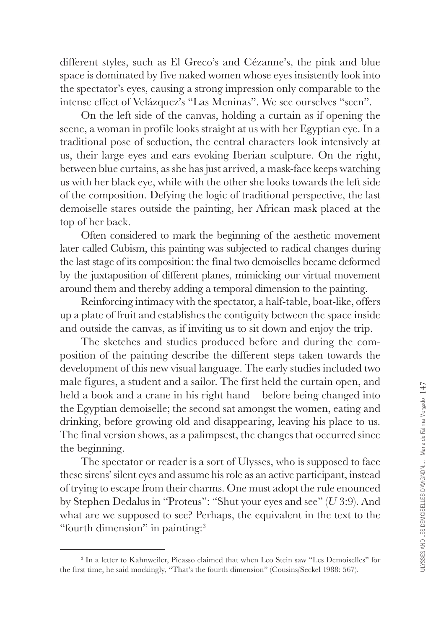different styles, such as El Greco's and Cézanne's, the pink and blue space is dominated by five naked women whose eyes insistently look into the spectator's eyes, causing a strong impression only comparable to the intense effect of Velázquez's "Las Meninas". We see ourselves "seen".

On the left side of the canvas, holding a curtain as if opening the scene, a woman in profile looks straight at us with her Egyptian eye. In a traditional pose of seduction, the central characters look intensively at us, their large eyes and ears evoking Iberian sculpture. On the right, between blue curtains, as she has just arrived, a mask-face keeps watching us with her black eye, while with the other she looks towards the left side of the composition. Defying the logic of traditional perspective, the last demoiselle stares outside the painting, her African mask placed at the top of her back.

Often considered to mark the beginning of the aesthetic movement later called Cubism, this painting was subjected to radical changes during the last stage of its composition: the final two demoiselles became deformed by the juxtaposition of different planes, mimicking our virtual movement around them and thereby adding a temporal dimension to the painting.

Reinforcing intimacy with the spectator, a half-table, boat-like, offers up a plate of fruit and establishes the contiguity between the space inside and outside the canvas, as if inviting us to sit down and enjoy the trip.

The sketches and studies produced before and during the composition of the painting describe the different steps taken towards the development of this new visual language. The early studies included two male figures, a student and a sailor. The first held the curtain open, and held a book and a crane in his right hand – before being changed into the Egyptian demoiselle; the second sat amongst the women, eating and drinking, before growing old and disappearing, leaving his place to us. The final version shows, as a palimpsest, the changes that occurred since the beginning.

The spectator or reader is a sort of Ulysses, who is supposed to face these sirens' silent eyes and assume his role as an active participant, instead of trying to escape from their charms. One must adopt the rule enounced by Stephen Dedalus in "Proteus": "Shut your eyes and see" (U 3:9). And what are we supposed to see? Perhaps, the equivalent in the text to the "fourth dimension" in painting:3

<sup>3</sup> In a letter to Kahnweiler, Picasso claimed that when Leo Stein saw "Les Demoiselles" for the first time, he said mockingly, "That's the fourth dimension" (Cousins/Seckel 1988: 567).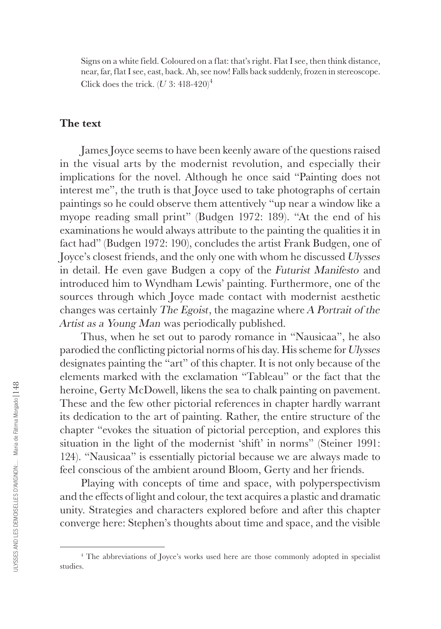Signs on a white field. Coloured on a flat: that's right. Flat I see, then think distance, near, far, flat I see, east, back. Ah, see now! Falls back suddenly, frozen in stereoscope. Click does the trick.  $(U 3: 418-420)^4$ 

## **The text**

James Joyce seems to have been keenly aware of the questions raised in the visual arts by the modernist revolution, and especially their implications for the novel. Although he once said "Painting does not interest me", the truth is that Joyce used to take photographs of certain paintings so he could observe them attentively "up near a window like a myope reading small print" (Budgen 1972: 189). "At the end of his examinations he would always attribute to the painting the qualities it in fact had" (Budgen 1972: 190), concludes the artist Frank Budgen, one of Joyce's closest friends, and the only one with whom he discussed Ulysses in detail. He even gave Budgen a copy of the Futurist Manifesto and introduced him to Wyndham Lewis' painting. Furthermore, one of the sources through which Joyce made contact with modernist aesthetic changes was certainly The Egoist, the magazine where A Portrait of the Artist as a Young Man was periodically published.

Thus, when he set out to parody romance in "Nausicaa", he also parodied the conflicting pictorial norms of his day. His scheme for Ulysses designates painting the "art" of this chapter. It is not only because of the elements marked with the exclamation "Tableau" or the fact that the heroine, Gerty McDowell, likens the sea to chalk painting on pavement. These and the few other pictorial references in chapter hardly warrant its dedication to the art of painting. Rather, the entire structure of the chapter "evokes the situation of pictorial perception, and explores this situation in the light of the modernist 'shift' in norms" (Steiner 1991: 124). "Nausicaa" is essentially pictorial because we are always made to feel conscious of the ambient around Bloom, Gerty and her friends.

Playing with concepts of time and space, with polyperspectivism and the effects of light and colour, the text acquires a plastic and dramatic unity. Strategies and characters explored before and after this chapter converge here: Stephen's thoughts about time and space, and the visible

<sup>4</sup> The abbreviations of Joyce's works used here are those commonly adopted in specialist studies.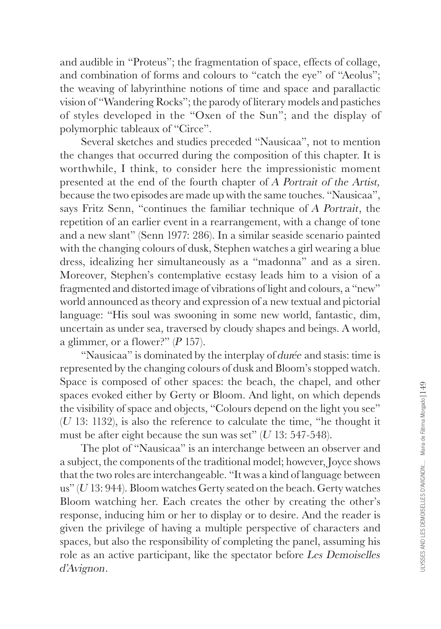and audible in "Proteus"; the fragmentation of space, effects of collage, and combination of forms and colours to "catch the eye" of "Aeolus"; the weaving of labyrinthine notions of time and space and parallactic vision of "Wandering Rocks"; the parody of literary models and pastiches of styles developed in the "Oxen of the Sun"; and the display of polymorphic tableaux of "Circe".

Several sketches and studies preceded "Nausicaa", not to mention the changes that occurred during the composition of this chapter. It is worthwhile, I think, to consider here the impressionistic moment presented at the end of the fourth chapter of A Portrait of the Artist, because the two episodes are made up with the same touches. "Nausicaa", says Fritz Senn, "continues the familiar technique of A Portrait, the repetition of an earlier event in a rearrangement, with a change of tone and a new slant" (Senn 1977: 286). In a similar seaside scenario painted with the changing colours of dusk, Stephen watches a girl wearing a blue dress, idealizing her simultaneously as a "madonna" and as a siren. Moreover, Stephen's contemplative ecstasy leads him to a vision of a fragmented and distorted image of vibrations of light and colours, a "new" world announced as theory and expression of a new textual and pictorial language: "His soul was swooning in some new world, fantastic, dim, uncertain as under sea, traversed by cloudy shapes and beings. A world, a glimmer, or a flower?"  $(P 157)$ .

"Nausicaa" is dominated by the interplay of durée and stasis: time is represented by the changing colours of dusk and Bloom's stopped watch. Space is composed of other spaces: the beach, the chapel, and other spaces evoked either by Gerty or Bloom. And light, on which depends the visibility of space and objects, "Colours depend on the light you see" (U 13: 1132), is also the reference to calculate the time, "he thought it must be after eight because the sun was set"  $(U 13: 547-548)$ .

The plot of "Nausicaa" is an interchange between an observer and a subject, the components of the traditional model; however, Joyce shows that the two roles are interchangeable. "It was a kind of language between us" (U 13: 944). Bloom watches Gerty seated on the beach. Gerty watches Bloom watching her. Each creates the other by creating the other's response, inducing him or her to display or to desire. And the reader is given the privilege of having a multiple perspective of characters and spaces, but also the responsibility of completing the panel, assuming his role as an active participant, like the spectator before Les Demoiselles d'Avignon.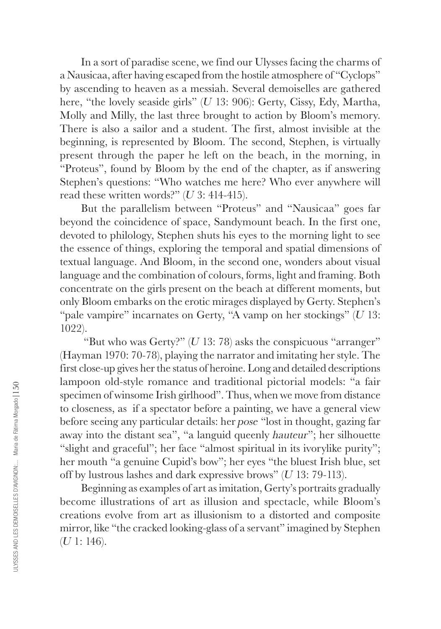In a sort of paradise scene, we find our Ulysses facing the charms of a Nausicaa, after having escaped from the hostile atmosphere of "Cyclops" by ascending to heaven as a messiah. Several demoiselles are gathered here, "the lovely seaside girls" (U 13: 906): Gerty, Cissy, Edy, Martha, Molly and Milly, the last three brought to action by Bloom's memory. There is also a sailor and a student. The first, almost invisible at the beginning, is represented by Bloom. The second, Stephen, is virtually present through the paper he left on the beach, in the morning, in "Proteus", found by Bloom by the end of the chapter, as if answering Stephen's questions: "Who watches me here? Who ever anywhere will read these written words?"  $(U_3: 414-415)$ .

But the parallelism between "Proteus" and "Nausicaa" goes far beyond the coincidence of space, Sandymount beach. In the first one, devoted to philology, Stephen shuts his eyes to the morning light to see the essence of things, exploring the temporal and spatial dimensions of textual language. And Bloom, in the second one, wonders about visual language and the combination of colours, forms, light and framing. Both concentrate on the girls present on the beach at different moments, but only Bloom embarks on the erotic mirages displayed by Gerty. Stephen's "pale vampire" incarnates on Gerty, "A vamp on her stockings"  $(U \ 13)$ : 1022).

"But who was Gerty?"  $(U 13: 78)$  asks the conspicuous "arranger" (Hayman 1970: 70-78), playing the narrator and imitating her style. The first close-up gives her the status of heroine. Long and detailed descriptions lampoon old-style romance and traditional pictorial models: "a fair specimen of winsome Irish girlhood". Thus, when we move from distance to closeness, as if a spectator before a painting, we have a general view before seeing any particular details: her pose "lost in thought, gazing far away into the distant sea", "a languid queenly hauteur"; her silhouette "slight and graceful"; her face "almost spiritual in its ivorylike purity"; her mouth "a genuine Cupid's bow"; her eyes "the bluest Irish blue, set off by lustrous lashes and dark expressive brows" (U 13: 79-113).

Beginning as examples of art as imitation, Gerty's portraits gradually become illustrations of art as illusion and spectacle, while Bloom's creations evolve from art as illusionism to a distorted and composite mirror, like "the cracked looking-glass of a servant" imagined by Stephen  $(U 1: 146).$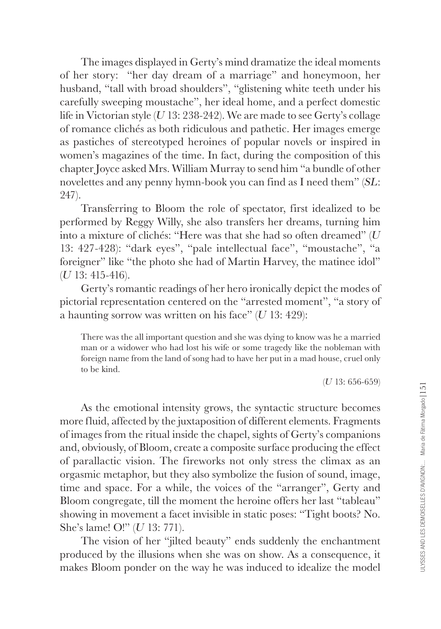The images displayed in Gerty's mind dramatize the ideal moments of her story: "her day dream of a marriage" and honeymoon, her husband, "tall with broad shoulders", "glistening white teeth under his carefully sweeping moustache", her ideal home, and a perfect domestic life in Victorian style  $(U13: 238-242)$ . We are made to see Gerty's collage of romance clichés as both ridiculous and pathetic. Her images emerge as pastiches of stereotyped heroines of popular novels or inspired in women's magazines of the time. In fact, during the composition of this chapter Joyce asked Mrs. William Murray to send him "a bundle of other novelettes and any penny hymn-book you can find as I need them" (SL: 247).

Transferring to Bloom the role of spectator, first idealized to be performed by Reggy Willy, she also transfers her dreams, turning him into a mixture of clichés: "Here was that she had so often dreamed"  $(U)$ 13: 427-428): "dark eyes", "pale intellectual face", "moustache", "a foreigner" like "the photo she had of Martin Harvey, the matinee idol" (U 13: 415-416).

Gerty's romantic readings of her hero ironically depict the modes of pictorial representation centered on the "arrested moment", "a story of a haunting sorrow was written on his face"  $(U 13: 429)$ :

There was the all important question and she was dying to know was he a married man or a widower who had lost his wife or some tragedy like the nobleman with foreign name from the land of song had to have her put in a mad house, cruel only to be kind.

(U 13: 656-659)

As the emotional intensity grows, the syntactic structure becomes more fluid, affected by the juxtaposition of different elements. Fragments of images from the ritual inside the chapel, sights of Gerty's companions and, obviously, of Bloom, create a composite surface producing the effect of parallactic vision. The fireworks not only stress the climax as an orgasmic metaphor, but they also symbolize the fusion of sound, image, time and space. For a while, the voices of the "arranger", Gerty and Bloom congregate, till the moment the heroine offers her last "tableau" showing in movement a facet invisible in static poses: "Tight boots? No. She's lame! O!" (U 13: 771).

The vision of her "jilted beauty" ends suddenly the enchantment produced by the illusions when she was on show. As a consequence, it makes Bloom ponder on the way he was induced to idealize the model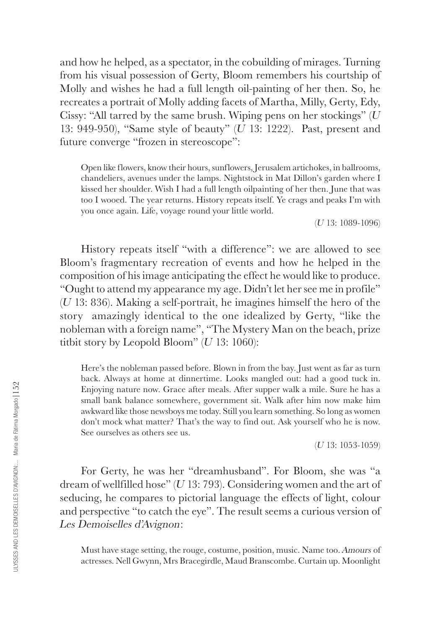and how he helped, as a spectator, in the cobuilding of mirages. Turning from his visual possession of Gerty, Bloom remembers his courtship of Molly and wishes he had a full length oil-painting of her then. So, he recreates a portrait of Molly adding facets of Martha, Milly, Gerty, Edy, Cissy: "All tarred by the same brush. Wiping pens on her stockings"  $(U$ 13: 949-950), "Same style of beauty" (U 13: 1222). Past, present and future converge "frozen in stereoscope":

Open like flowers, know their hours, sunflowers, Jerusalem artichokes, in ballrooms, chandeliers, avenues under the lamps. Nightstock in Mat Dillon's garden where I kissed her shoulder. Wish I had a full length oilpainting of her then. June that was too I wooed. The year returns. History repeats itself. Ye crags and peaks I'm with you once again. Life, voyage round your little world.

(U 13: 1089-1096)

History repeats itself "with a difference": we are allowed to see Bloom's fragmentary recreation of events and how he helped in the composition of his image anticipating the effect he would like to produce. "Ought to attend my appearance my age. Didn't let her see me in profile" (U 13: 836). Making a self-portrait, he imagines himself the hero of the story amazingly identical to the one idealized by Gerty, "like the nobleman with a foreign name", "The Mystery Man on the beach, prize titbit story by Leopold Bloom"  $(U 13: 1060)$ :

Here's the nobleman passed before. Blown in from the bay. Just went as far as turn back. Always at home at dinnertime. Looks mangled out: had a good tuck in. Enjoying nature now. Grace after meals. After supper walk a mile. Sure he has a small bank balance somewhere, government sit. Walk after him now make him awkward like those newsboys me today. Still you learn something. So long as women don't mock what matter? That's the way to find out. Ask yourself who he is now. See ourselves as others see us.

(U 13: 1053-1059)

For Gerty, he was her "dreamhusband". For Bloom, she was "a dream of wellfilled hose"  $(U13: 793)$ . Considering women and the art of seducing, he compares to pictorial language the effects of light, colour and perspective "to catch the eye". The result seems a curious version of Les Demoiselles d'Avignon:

Must have stage setting, the rouge, costume, position, music. Name too. Amours of actresses. Nell Gwynn, Mrs Bracegirdle, Maud Branscombe. Curtain up. Moonlight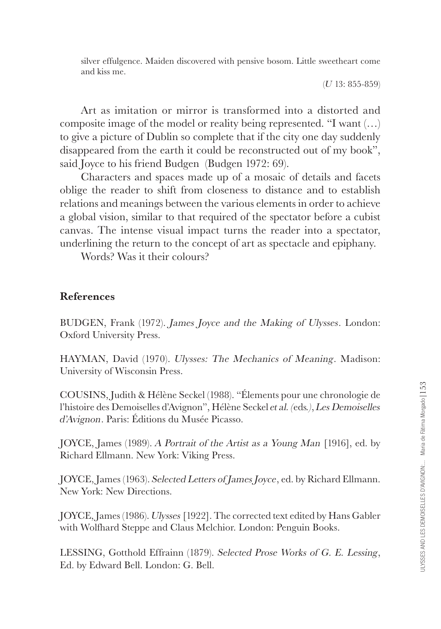silver effulgence. Maiden discovered with pensive bosom. Little sweetheart come and kiss me.

(U 13: 855-859)

Art as imitation or mirror is transformed into a distorted and composite image of the model or reality being represented. "I want (…) to give a picture of Dublin so complete that if the city one day suddenly disappeared from the earth it could be reconstructed out of my book", said Joyce to his friend Budgen (Budgen 1972: 69).

Characters and spaces made up of a mosaic of details and facets oblige the reader to shift from closeness to distance and to establish relations and meanings between the various elements in order to achieve a global vision, similar to that required of the spectator before a cubist canvas. The intense visual impact turns the reader into a spectator, underlining the return to the concept of art as spectacle and epiphany.

Words? Was it their colours?

## **References**

BUDGEN, Frank (1972). James Joyce and the Making of Ulysses. London: Oxford University Press.

HAYMAN, David (1970). Ulysses: The Mechanics of Meaning. Madison: University of Wisconsin Press.

COUSINS, Judith & Hélène Seckel (1988). "Élements pour une chronologie de l'histoire des Demoiselles d'Avignon", Hélène Seckel et al. (eds.), Les Demoiselles d'Avignon. Paris: Éditions du Musée Picasso.

JOYCE, James (1989). A Portrait of the Artist as a Young Man [1916], ed. by Richard Ellmann. New York: Viking Press.

JOYCE, James (1963). Selected Letters of James Joyce, ed. by Richard Ellmann. New York: New Directions.

JOYCE, James (1986). Ulysses [1922]. The corrected text edited by Hans Gabler with Wolfhard Steppe and Claus Melchior. London: Penguin Books.

LESSING, Gotthold Effrainn (1879). Selected Prose Works of G. E. Lessing, Ed. by Edward Bell. London: G. Bell.